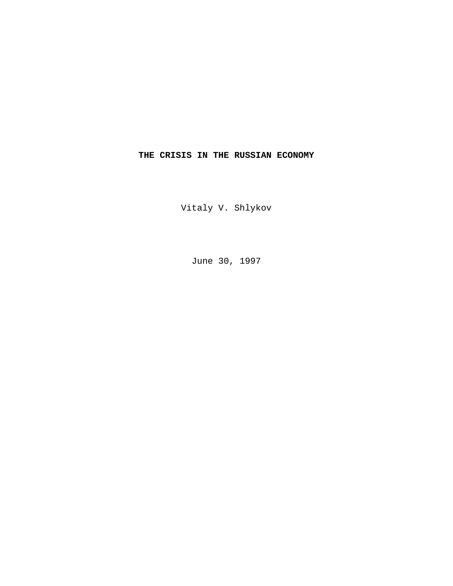# **THE CRISIS IN THE RUSSIAN ECONOMY**

Vitaly V. Shlykov

June 30, 1997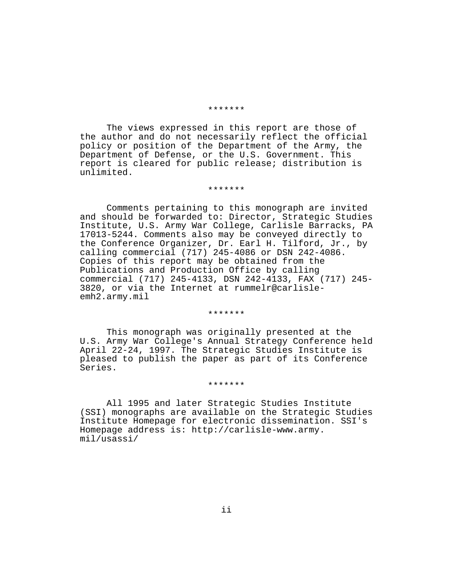#### \*\*\*\*\*\*\*

The views expressed in this report are those of the author and do not necessarily reflect the official policy or position of the Department of the Army, the Department of Defense, or the U.S. Government. This report is cleared for public release; distribution is unlimited.

#### \*\*\*\*\*\*\*

Comments pertaining to this monograph are invited and should be forwarded to: Director, Strategic Studies Institute, U.S. Army War College, Carlisle Barracks, PA 17013-5244. Comments also may be conveyed directly to the Conference Organizer, Dr. Earl H. Tilford, Jr., by calling commercial (717) 245-4086 or DSN 242-4086. Copies of this report may be obtained from the Publications and Production Office by calling commercial (717) 245-4133, DSN 242-4133, FAX (717) 245- 3820, or via the Internet at rummelr@carlisleemh2.army.mil

#### \*\*\*\*\*\*\*

This monograph was originally presented at the U.S. Army War College's Annual Strategy Conference held April 22-24, 1997. The Strategic Studies Institute is pleased to publish the paper as part of its Conference Series.

### \*\*\*\*\*\*\*

All 1995 and later Strategic Studies Institute (SSI) monographs are available on the Strategic Studies Institute Homepage for electronic dissemination. SSI's Homepage address is: http://carlisle-www.army. mil/usassi/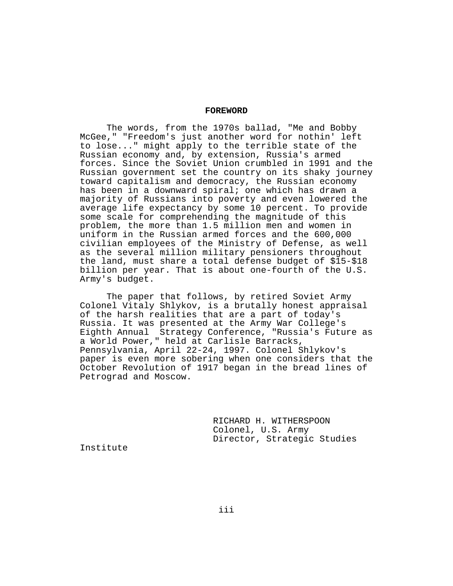### **FOREWORD**

The words, from the 1970s ballad, "Me and Bobby McGee," "Freedom's just another word for nothin' left to lose..." might apply to the terrible state of the Russian economy and, by extension, Russia's armed forces. Since the Soviet Union crumbled in 1991 and the Russian government set the country on its shaky journey toward capitalism and democracy, the Russian economy has been in a downward spiral; one which has drawn a majority of Russians into poverty and even lowered the average life expectancy by some 10 percent. To provide some scale for comprehending the magnitude of this problem, the more than 1.5 million men and women in uniform in the Russian armed forces and the 600,000 civilian employees of the Ministry of Defense, as well as the several million military pensioners throughout the land, must share a total defense budget of \$15-\$18 billion per year. That is about one-fourth of the U.S. Army's budget.

The paper that follows, by retired Soviet Army Colonel Vitaly Shlykov, is a brutally honest appraisal of the harsh realities that are a part of today's Russia. It was presented at the Army War College's Eighth Annual Strategy Conference, "Russia's Future as a World Power," held at Carlisle Barracks, Pennsylvania, April 22-24, 1997. Colonel Shlykov's paper is even more sobering when one considers that the October Revolution of 1917 began in the bread lines of Petrograd and Moscow.

> RICHARD H. WITHERSPOON Colonel, U.S. Army Director, Strategic Studies

Institute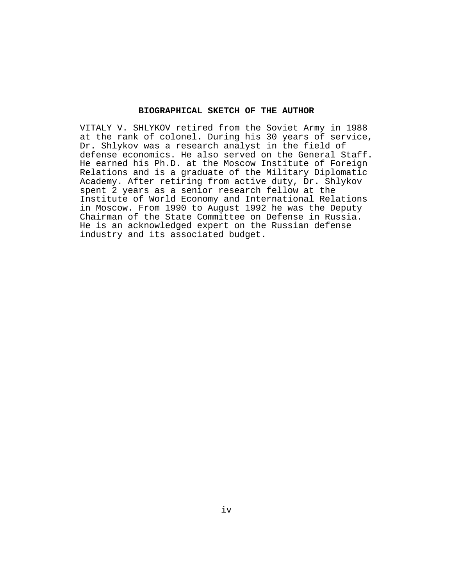## **BIOGRAPHICAL SKETCH OF THE AUTHOR**

VITALY V. SHLYKOV retired from the Soviet Army in 1988 at the rank of colonel. During his 30 years of service, Dr. Shlykov was a research analyst in the field of defense economics. He also served on the General Staff. He earned his Ph.D. at the Moscow Institute of Foreign Relations and is a graduate of the Military Diplomatic Academy. After retiring from active duty, Dr. Shlykov spent 2 years as a senior research fellow at the Institute of World Economy and International Relations in Moscow. From 1990 to August 1992 he was the Deputy Chairman of the State Committee on Defense in Russia. He is an acknowledged expert on the Russian defense industry and its associated budget.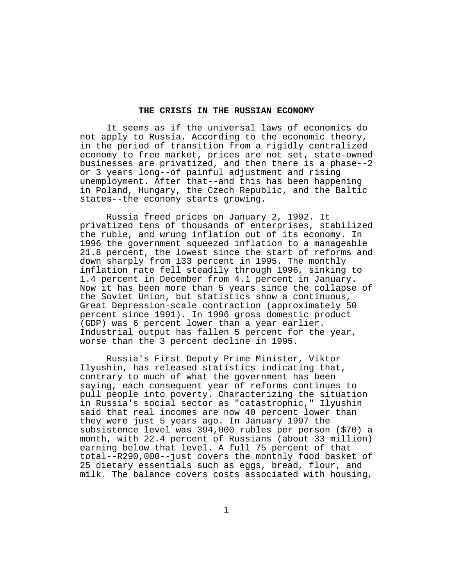## **THE CRISIS IN THE RUSSIAN ECONOMY**

It seems as if the universal laws of economics do not apply to Russia. According to the economic theory, in the period of transition from a rigidly centralized economy to free market, prices are not set, state-owned businesses are privatized, and then there is a phase--2 or 3 years long--of painful adjustment and rising unemployment. After that--and this has been happening in Poland, Hungary, the Czech Republic, and the Baltic states--the economy starts growing.

Russia freed prices on January 2, 1992. It privatized tens of thousands of enterprises, stabilized the ruble, and wrung inflation out of its economy. In 1996 the government squeezed inflation to a manageable 21.8 percent, the lowest since the start of reforms and down sharply from 133 percent in 1995. The monthly inflation rate fell steadily through 1996, sinking to 1.4 percent in December from 4.1 percent in January. Now it has been more than 5 years since the collapse of the Soviet Union, but statistics show a continuous, Great Depression-scale contraction (approximately 50 percent since 1991). In 1996 gross domestic product (GDP) was 6 percent lower than a year earlier. Industrial output has fallen 5 percent for the year, worse than the 3 percent decline in 1995.

Russia's First Deputy Prime Minister, Viktor Ilyushin, has released statistics indicating that, contrary to much of what the government has been saying, each consequent year of reforms continues to pull people into poverty. Characterizing the situation in Russia's social sector as "catastrophic," Ilyushin said that real incomes are now 40 percent lower than they were just 5 years ago. In January 1997 the subsistence level was 394,000 rubles per person (\$70) a month, with 22.4 percent of Russians (about 33 million) earning below that level. A full 75 percent of that total--R290,000--just covers the monthly food basket of 25 dietary essentials such as eggs, bread, flour, and milk. The balance covers costs associated with housing,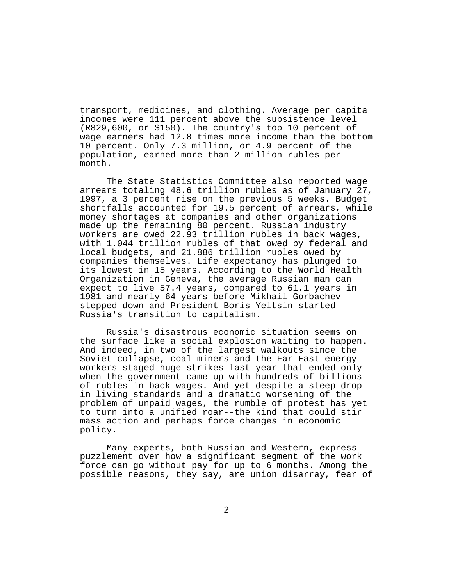transport, medicines, and clothing. Average per capita incomes were 111 percent above the subsistence level (R829,600, or \$150). The country's top 10 percent of wage earners had 12.8 times more income than the bottom 10 percent. Only 7.3 million, or 4.9 percent of the population, earned more than 2 million rubles per month.

The State Statistics Committee also reported wage arrears totaling 48.6 trillion rubles as of January 27, 1997, a 3 percent rise on the previous 5 weeks. Budget shortfalls accounted for 19.5 percent of arrears, while money shortages at companies and other organizations made up the remaining 80 percent. Russian industry workers are owed 22.93 trillion rubles in back wages, with 1.044 trillion rubles of that owed by federal and local budgets, and 21.886 trillion rubles owed by companies themselves. Life expectancy has plunged to its lowest in 15 years. According to the World Health Organization in Geneva, the average Russian man can expect to live 57.4 years, compared to 61.1 years in 1981 and nearly 64 years before Mikhail Gorbachev stepped down and President Boris Yeltsin started Russia's transition to capitalism.

Russia's disastrous economic situation seems on the surface like a social explosion waiting to happen. And indeed, in two of the largest walkouts since the Soviet collapse, coal miners and the Far East energy workers staged huge strikes last year that ended only when the government came up with hundreds of billions of rubles in back wages. And yet despite a steep drop in living standards and a dramatic worsening of the problem of unpaid wages, the rumble of protest has yet to turn into a unified roar--the kind that could stir mass action and perhaps force changes in economic policy.

Many experts, both Russian and Western, express puzzlement over how a significant segment of the work force can go without pay for up to 6 months. Among the possible reasons, they say, are union disarray, fear of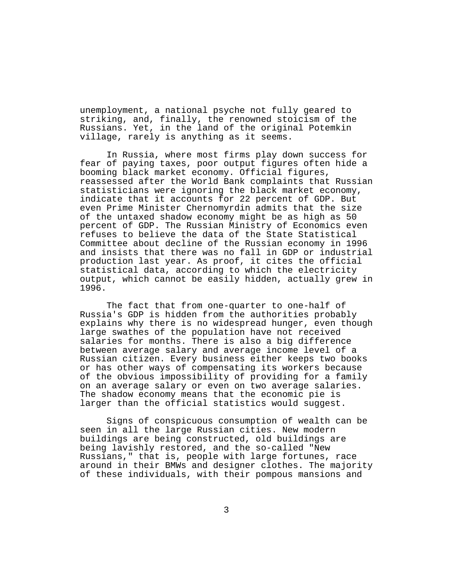unemployment, a national psyche not fully geared to striking, and, finally, the renowned stoicism of the Russians. Yet, in the land of the original Potemkin village, rarely is anything as it seems.

In Russia, where most firms play down success for fear of paying taxes, poor output figures often hide a booming black market economy. Official figures, reassessed after the World Bank complaints that Russian statisticians were ignoring the black market economy, indicate that it accounts for 22 percent of GDP. But even Prime Minister Chernomyrdin admits that the size of the untaxed shadow economy might be as high as 50 percent of GDP. The Russian Ministry of Economics even refuses to believe the data of the State Statistical Committee about decline of the Russian economy in 1996 and insists that there was no fall in GDP or industrial production last year. As proof, it cites the official statistical data, according to which the electricity output, which cannot be easily hidden, actually grew in 1996.

The fact that from one-quarter to one-half of Russia's GDP is hidden from the authorities probably explains why there is no widespread hunger, even though large swathes of the population have not received salaries for months. There is also a big difference between average salary and average income level of a Russian citizen. Every business either keeps two books or has other ways of compensating its workers because of the obvious impossibility of providing for a family on an average salary or even on two average salaries. The shadow economy means that the economic pie is larger than the official statistics would suggest.

Signs of conspicuous consumption of wealth can be seen in all the large Russian cities. New modern buildings are being constructed, old buildings are being lavishly restored, and the so-called "New Russians," that is, people with large fortunes, race around in their BMWs and designer clothes. The majority of these individuals, with their pompous mansions and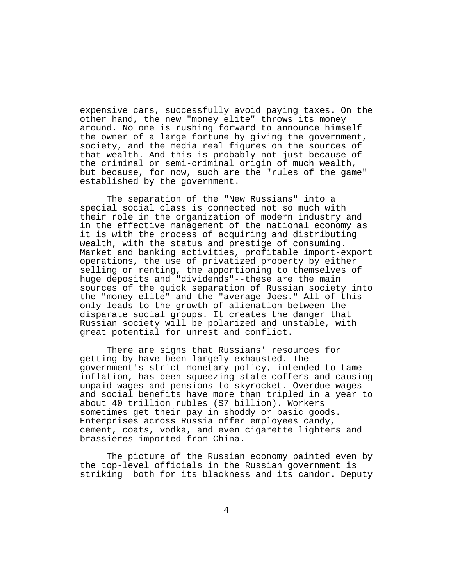expensive cars, successfully avoid paying taxes. On the other hand, the new "money elite" throws its money around. No one is rushing forward to announce himself the owner of a large fortune by giving the government, society, and the media real figures on the sources of that wealth. And this is probably not just because of the criminal or semi-criminal origin of much wealth, but because, for now, such are the "rules of the game" established by the government.

The separation of the "New Russians" into a special social class is connected not so much with their role in the organization of modern industry and in the effective management of the national economy as it is with the process of acquiring and distributing wealth, with the status and prestige of consuming. Market and banking activities, profitable import-export operations, the use of privatized property by either selling or renting, the apportioning to themselves of huge deposits and "dividends"--these are the main sources of the quick separation of Russian society into the "money elite" and the "average Joes." All of this only leads to the growth of alienation between the disparate social groups. It creates the danger that Russian society will be polarized and unstable, with great potential for unrest and conflict.

There are signs that Russians' resources for getting by have been largely exhausted. The government's strict monetary policy, intended to tame inflation, has been squeezing state coffers and causing unpaid wages and pensions to skyrocket. Overdue wages and social benefits have more than tripled in a year to about 40 trillion rubles (\$7 billion). Workers sometimes get their pay in shoddy or basic goods. Enterprises across Russia offer employees candy, cement, coats, vodka, and even cigarette lighters and brassieres imported from China.

The picture of the Russian economy painted even by the top-level officials in the Russian government is striking both for its blackness and its candor. Deputy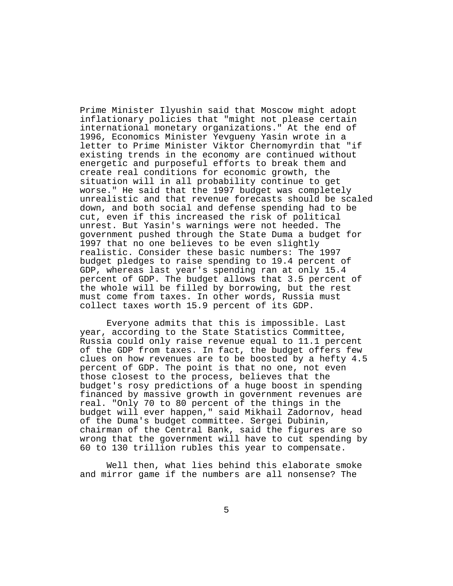Prime Minister Ilyushin said that Moscow might adopt inflationary policies that "might not please certain international monetary organizations." At the end of 1996, Economics Minister Yevgueny Yasin wrote in a letter to Prime Minister Viktor Chernomyrdin that "if existing trends in the economy are continued without energetic and purposeful efforts to break them and create real conditions for economic growth, the situation will in all probability continue to get worse." He said that the 1997 budget was completely unrealistic and that revenue forecasts should be scaled down, and both social and defense spending had to be cut, even if this increased the risk of political unrest. But Yasin's warnings were not heeded. The government pushed through the State Duma a budget for 1997 that no one believes to be even slightly realistic. Consider these basic numbers: The 1997 budget pledges to raise spending to 19.4 percent of GDP, whereas last year's spending ran at only 15.4 percent of GDP. The budget allows that 3.5 percent of the whole will be filled by borrowing, but the rest must come from taxes. In other words, Russia must collect taxes worth 15.9 percent of its GDP.

Everyone admits that this is impossible. Last year, according to the State Statistics Committee, Russia could only raise revenue equal to 11.1 percent of the GDP from taxes. In fact, the budget offers few clues on how revenues are to be boosted by a hefty 4.5 percent of GDP. The point is that no one, not even those closest to the process, believes that the budget's rosy predictions of a huge boost in spending financed by massive growth in government revenues are real. "Only 70 to 80 percent of the things in the budget will ever happen," said Mikhail Zadornov, head of the Duma's budget committee. Sergei Dubinin, chairman of the Central Bank, said the figures are so wrong that the government will have to cut spending by 60 to 130 trillion rubles this year to compensate.

Well then, what lies behind this elaborate smoke and mirror game if the numbers are all nonsense? The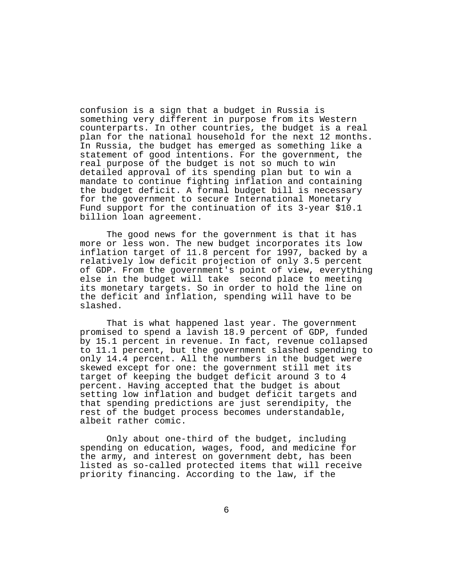confusion is a sign that a budget in Russia is something very different in purpose from its Western counterparts. In other countries, the budget is a real plan for the national household for the next 12 months. In Russia, the budget has emerged as something like a statement of good intentions. For the government, the real purpose of the budget is not so much to win detailed approval of its spending plan but to win a mandate to continue fighting inflation and containing the budget deficit. A formal budget bill is necessary for the government to secure International Monetary Fund support for the continuation of its 3-year \$10.1 billion loan agreement.

The good news for the government is that it has more or less won. The new budget incorporates its low inflation target of 11.8 percent for 1997, backed by a relatively low deficit projection of only 3.5 percent of GDP. From the government's point of view, everything else in the budget will take second place to meeting its monetary targets. So in order to hold the line on the deficit and inflation, spending will have to be slashed.

That is what happened last year. The government promised to spend a lavish 18.9 percent of GDP, funded by 15.1 percent in revenue. In fact, revenue collapsed to 11.1 percent, but the government slashed spending to only 14.4 percent. All the numbers in the budget were skewed except for one: the government still met its target of keeping the budget deficit around 3 to 4 percent. Having accepted that the budget is about setting low inflation and budget deficit targets and that spending predictions are just serendipity, the rest of the budget process becomes understandable, albeit rather comic.

Only about one-third of the budget, including spending on education, wages, food, and medicine for the army, and interest on government debt, has been listed as so-called protected items that will receive priority financing. According to the law, if the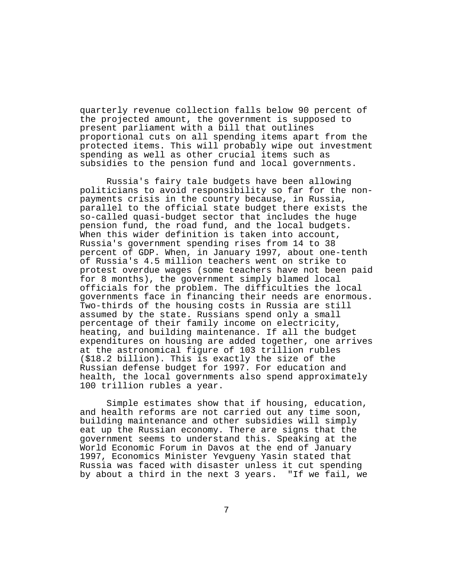quarterly revenue collection falls below 90 percent of the projected amount, the government is supposed to present parliament with a bill that outlines proportional cuts on all spending items apart from the protected items. This will probably wipe out investment spending as well as other crucial items such as subsidies to the pension fund and local governments.

Russia's fairy tale budgets have been allowing politicians to avoid responsibility so far for the nonpayments crisis in the country because, in Russia, parallel to the official state budget there exists the so-called quasi-budget sector that includes the huge pension fund, the road fund, and the local budgets. When this wider definition is taken into account, Russia's government spending rises from 14 to 38 percent of GDP. When, in January 1997, about one-tenth of Russia's 4.5 million teachers went on strike to protest overdue wages (some teachers have not been paid for 8 months), the government simply blamed local officials for the problem. The difficulties the local governments face in financing their needs are enormous. Two-thirds of the housing costs in Russia are still assumed by the state. Russians spend only a small percentage of their family income on electricity, heating, and building maintenance. If all the budget expenditures on housing are added together, one arrives at the astronomical figure of 103 trillion rubles (\$18.2 billion). This is exactly the size of the Russian defense budget for 1997. For education and health, the local governments also spend approximately 100 trillion rubles a year.

Simple estimates show that if housing, education, and health reforms are not carried out any time soon, building maintenance and other subsidies will simply eat up the Russian economy. There are signs that the government seems to understand this. Speaking at the World Economic Forum in Davos at the end of January 1997, Economics Minister Yevgueny Yasin stated that Russia was faced with disaster unless it cut spending by about a third in the next 3 years. "If we fail, we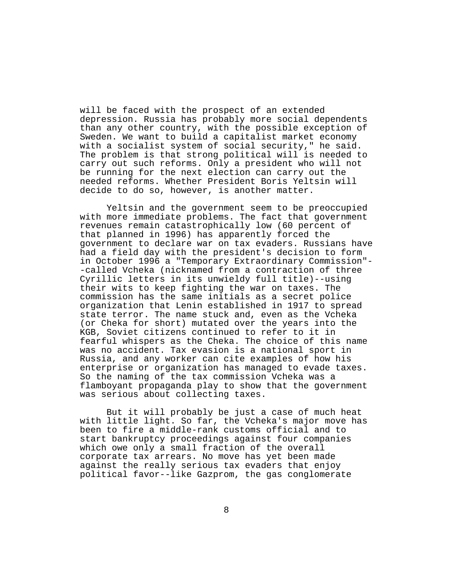will be faced with the prospect of an extended depression. Russia has probably more social dependents than any other country, with the possible exception of Sweden. We want to build a capitalist market economy with a socialist system of social security," he said. The problem is that strong political will is needed to carry out such reforms. Only a president who will not be running for the next election can carry out the needed reforms. Whether President Boris Yeltsin will decide to do so, however, is another matter.

Yeltsin and the government seem to be preoccupied with more immediate problems. The fact that government revenues remain catastrophically low (60 percent of that planned in 1996) has apparently forced the government to declare war on tax evaders. Russians have had a field day with the president's decision to form in October 1996 a "Temporary Extraordinary Commission"- -called Vcheka (nicknamed from a contraction of three Cyrillic letters in its unwieldy full title)--using their wits to keep fighting the war on taxes. The commission has the same initials as a secret police organization that Lenin established in 1917 to spread state terror. The name stuck and, even as the Vcheka (or Cheka for short) mutated over the years into the KGB, Soviet citizens continued to refer to it in fearful whispers as the Cheka. The choice of this name was no accident. Tax evasion is a national sport in Russia, and any worker can cite examples of how his enterprise or organization has managed to evade taxes. So the naming of the tax commission Vcheka was a flamboyant propaganda play to show that the government was serious about collecting taxes.

But it will probably be just a case of much heat with little light. So far, the Vcheka's major move has been to fire a middle-rank customs official and to start bankruptcy proceedings against four companies which owe only a small fraction of the overall corporate tax arrears. No move has yet been made against the really serious tax evaders that enjoy political favor--like Gazprom, the gas conglomerate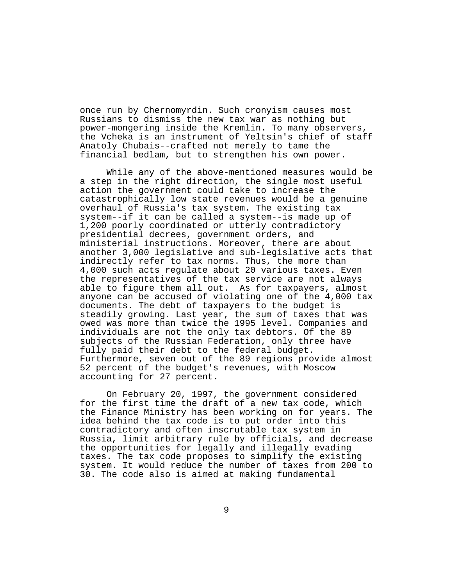once run by Chernomyrdin. Such cronyism causes most Russians to dismiss the new tax war as nothing but power-mongering inside the Kremlin. To many observers, the Vcheka is an instrument of Yeltsin's chief of staff Anatoly Chubais--crafted not merely to tame the financial bedlam, but to strengthen his own power.

While any of the above-mentioned measures would be a step in the right direction, the single most useful action the government could take to increase the catastrophically low state revenues would be a genuine overhaul of Russia's tax system. The existing tax system--if it can be called a system--is made up of 1,200 poorly coordinated or utterly contradictory presidential decrees, government orders, and ministerial instructions. Moreover, there are about another 3,000 legislative and sub-legislative acts that indirectly refer to tax norms. Thus, the more than 4,000 such acts regulate about 20 various taxes. Even the representatives of the tax service are not always able to figure them all out. As for taxpayers, almost anyone can be accused of violating one of the 4,000 tax documents. The debt of taxpayers to the budget is steadily growing. Last year, the sum of taxes that was owed was more than twice the 1995 level. Companies and individuals are not the only tax debtors. Of the 89 subjects of the Russian Federation, only three have fully paid their debt to the federal budget. Furthermore, seven out of the 89 regions provide almost 52 percent of the budget's revenues, with Moscow accounting for 27 percent.

On February 20, 1997, the government considered for the first time the draft of a new tax code, which the Finance Ministry has been working on for years. The idea behind the tax code is to put order into this contradictory and often inscrutable tax system in Russia, limit arbitrary rule by officials, and decrease the opportunities for legally and illegally evading taxes. The tax code proposes to simplify the existing system. It would reduce the number of taxes from 200 to 30. The code also is aimed at making fundamental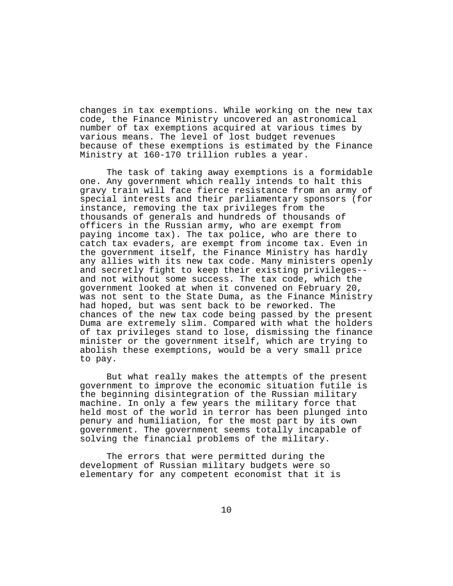changes in tax exemptions. While working on the new tax code, the Finance Ministry uncovered an astronomical number of tax exemptions acquired at various times by various means. The level of lost budget revenues because of these exemptions is estimated by the Finance Ministry at 160-170 trillion rubles a year.

The task of taking away exemptions is a formidable one. Any government which really intends to halt this gravy train will face fierce resistance from an army of special interests and their parliamentary sponsors (for instance, removing the tax privileges from the thousands of generals and hundreds of thousands of officers in the Russian army, who are exempt from paying income tax). The tax police, who are there to catch tax evaders, are exempt from income tax. Even in the government itself, the Finance Ministry has hardly any allies with its new tax code. Many ministers openly and secretly fight to keep their existing privileges- and not without some success. The tax code, which the government looked at when it convened on February 20, was not sent to the State Duma, as the Finance Ministry had hoped, but was sent back to be reworked. The chances of the new tax code being passed by the present Duma are extremely slim. Compared with what the holders of tax privileges stand to lose, dismissing the finance minister or the government itself, which are trying to abolish these exemptions, would be a very small price to pay.

But what really makes the attempts of the present government to improve the economic situation futile is the beginning disintegration of the Russian military machine. In only a few years the military force that held most of the world in terror has been plunged into penury and humiliation, for the most part by its own government. The government seems totally incapable of solving the financial problems of the military.

The errors that were permitted during the development of Russian military budgets were so elementary for any competent economist that it is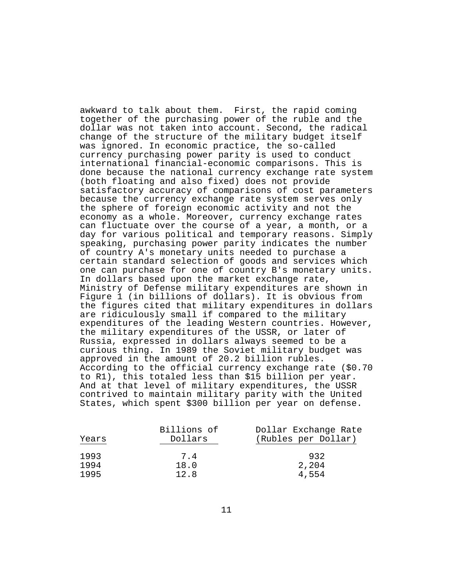awkward to talk about them. First, the rapid coming together of the purchasing power of the ruble and the dollar was not taken into account. Second, the radical change of the structure of the military budget itself was ignored. In economic practice, the so-called currency purchasing power parity is used to conduct international financial-economic comparisons. This is done because the national currency exchange rate system (both floating and also fixed) does not provide satisfactory accuracy of comparisons of cost parameters because the currency exchange rate system serves only the sphere of foreign economic activity and not the economy as a whole. Moreover, currency exchange rates can fluctuate over the course of a year, a month, or a day for various political and temporary reasons. Simply speaking, purchasing power parity indicates the number of country A's monetary units needed to purchase a certain standard selection of goods and services which one can purchase for one of country B's monetary units. In dollars based upon the market exchange rate, Ministry of Defense military expenditures are shown in Figure 1 (in billions of dollars). It is obvious from the figures cited that military expenditures in dollars are ridiculously small if compared to the military expenditures of the leading Western countries. However, the military expenditures of the USSR, or later of Russia, expressed in dollars always seemed to be a curious thing. In 1989 the Soviet military budget was approved in the amount of 20.2 billion rubles. According to the official currency exchange rate (\$0.70 to R1), this totaled less than \$15 billion per year. And at that level of military expenditures, the USSR contrived to maintain military parity with the United States, which spent \$300 billion per year on defense.

| Years        | Billions of<br>Dollars | Dollar Exchange Rate<br>(Rubles per Dollar) |
|--------------|------------------------|---------------------------------------------|
| 1993         | 7.4                    | 932                                         |
| 1994<br>1995 | 18.0<br>12.8           | 2,204<br>4,554                              |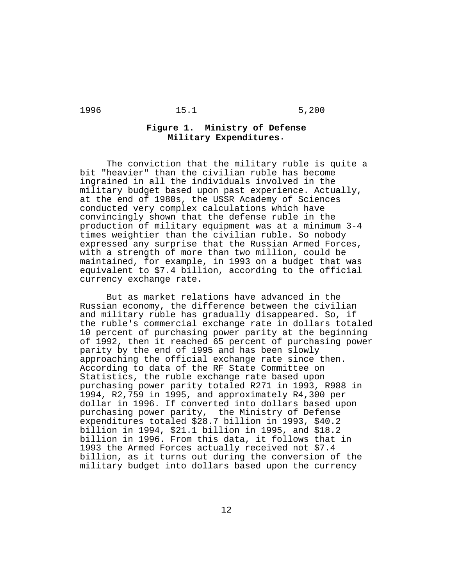# **Figure 1. Ministry of Defense Military Expenditures**.

The conviction that the military ruble is quite a bit "heavier" than the civilian ruble has become ingrained in all the individuals involved in the military budget based upon past experience. Actually, at the end of 1980s, the USSR Academy of Sciences conducted very complex calculations which have convincingly shown that the defense ruble in the production of military equipment was at a minimum 3-4 times weightier than the civilian ruble. So nobody expressed any surprise that the Russian Armed Forces, with a strength of more than two million, could be maintained, for example, in 1993 on a budget that was equivalent to \$7.4 billion, according to the official currency exchange rate.

But as market relations have advanced in the Russian economy, the difference between the civilian and military ruble has gradually disappeared. So, if the ruble's commercial exchange rate in dollars totaled 10 percent of purchasing power parity at the beginning of 1992, then it reached 65 percent of purchasing power parity by the end of 1995 and has been slowly approaching the official exchange rate since then. According to data of the RF State Committee on Statistics, the ruble exchange rate based upon purchasing power parity totaled R271 in 1993, R988 in 1994, R2,759 in 1995, and approximately R4,300 per dollar in 1996. If converted into dollars based upon purchasing power parity, the Ministry of Defense expenditures totaled \$28.7 billion in 1993, \$40.2 billion in 1994, \$21.1 billion in 1995, and \$18.2 billion in 1996. From this data, it follows that in 1993 the Armed Forces actually received not \$7.4 billion, as it turns out during the conversion of the military budget into dollars based upon the currency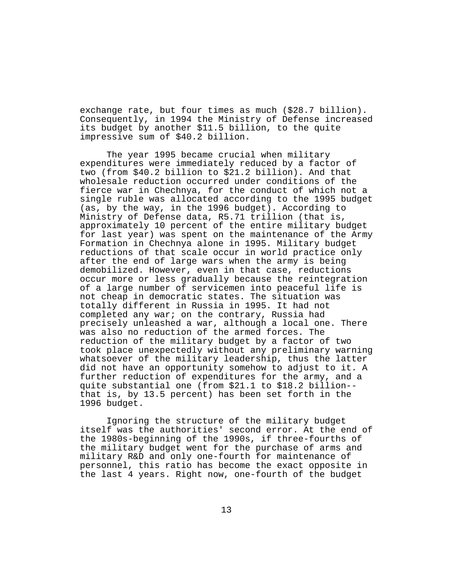exchange rate, but four times as much (\$28.7 billion). Consequently, in 1994 the Ministry of Defense increased its budget by another \$11.5 billion, to the quite impressive sum of \$40.2 billion.

The year 1995 became crucial when military expenditures were immediately reduced by a factor of two (from \$40.2 billion to \$21.2 billion). And that wholesale reduction occurred under conditions of the fierce war in Chechnya, for the conduct of which not a single ruble was allocated according to the 1995 budget (as, by the way, in the 1996 budget). According to Ministry of Defense data, R5.71 trillion (that is, approximately 10 percent of the entire military budget for last year) was spent on the maintenance of the Army Formation in Chechnya alone in 1995. Military budget reductions of that scale occur in world practice only after the end of large wars when the army is being demobilized. However, even in that case, reductions occur more or less gradually because the reintegration of a large number of servicemen into peaceful life is not cheap in democratic states. The situation was totally different in Russia in 1995. It had not completed any war; on the contrary, Russia had precisely unleashed a war, although a local one. There was also no reduction of the armed forces. The reduction of the military budget by a factor of two took place unexpectedly without any preliminary warning whatsoever of the military leadership, thus the latter did not have an opportunity somehow to adjust to it. A further reduction of expenditures for the army, and a quite substantial one (from \$21.1 to \$18.2 billion- that is, by 13.5 percent) has been set forth in the 1996 budget.

Ignoring the structure of the military budget itself was the authorities' second error. At the end of the 1980s-beginning of the 1990s, if three-fourths of the military budget went for the purchase of arms and military R&D and only one-fourth for maintenance of personnel, this ratio has become the exact opposite in the last 4 years. Right now, one-fourth of the budget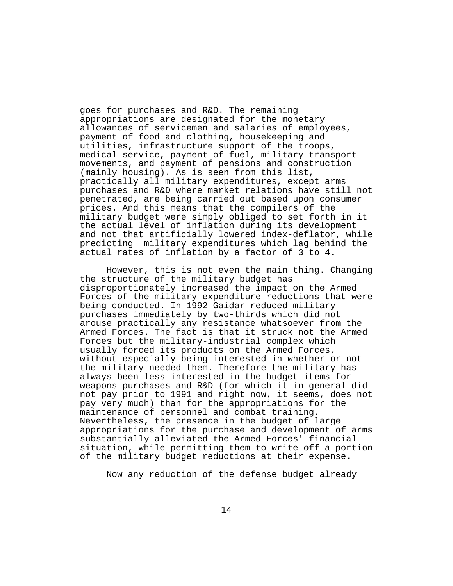goes for purchases and R&D. The remaining appropriations are designated for the monetary allowances of servicemen and salaries of employees, payment of food and clothing, housekeeping and utilities, infrastructure support of the troops, medical service, payment of fuel, military transport movements, and payment of pensions and construction (mainly housing). As is seen from this list, practically all military expenditures, except arms purchases and R&D where market relations have still not penetrated, are being carried out based upon consumer prices. And this means that the compilers of the military budget were simply obliged to set forth in it the actual level of inflation during its development and not that artificially lowered index-deflator, while predicting military expenditures which lag behind the actual rates of inflation by a factor of 3 to 4.

However, this is not even the main thing. Changing the structure of the military budget has disproportionately increased the impact on the Armed Forces of the military expenditure reductions that were being conducted. In 1992 Gaidar reduced military purchases immediately by two-thirds which did not arouse practically any resistance whatsoever from the Armed Forces. The fact is that it struck not the Armed Forces but the military-industrial complex which usually forced its products on the Armed Forces, without especially being interested in whether or not the military needed them. Therefore the military has always been less interested in the budget items for weapons purchases and R&D (for which it in general did not pay prior to 1991 and right now, it seems, does not pay very much) than for the appropriations for the maintenance of personnel and combat training. Nevertheless, the presence in the budget of large appropriations for the purchase and development of arms substantially alleviated the Armed Forces' financial situation, while permitting them to write off a portion of the military budget reductions at their expense.

Now any reduction of the defense budget already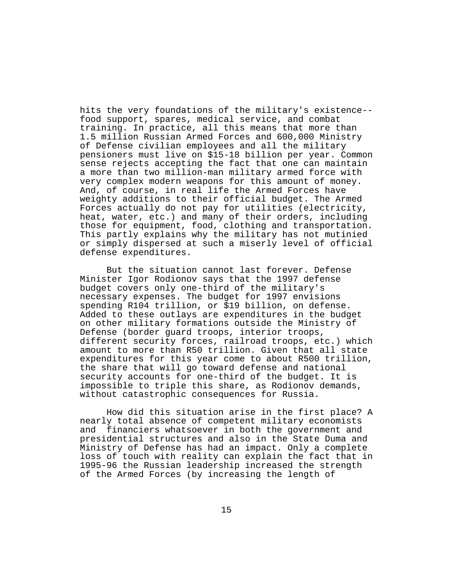hits the very foundations of the military's existence- food support, spares, medical service, and combat training. In practice, all this means that more than 1.5 million Russian Armed Forces and 600,000 Ministry of Defense civilian employees and all the military pensioners must live on \$15-18 billion per year. Common sense rejects accepting the fact that one can maintain a more than two million-man military armed force with very complex modern weapons for this amount of money. And, of course, in real life the Armed Forces have weighty additions to their official budget. The Armed Forces actually do not pay for utilities (electricity, heat, water, etc.) and many of their orders, including those for equipment, food, clothing and transportation. This partly explains why the military has not mutinied or simply dispersed at such a miserly level of official defense expenditures.

But the situation cannot last forever. Defense Minister Igor Rodionov says that the 1997 defense budget covers only one-third of the military's necessary expenses. The budget for 1997 envisions spending R104 trillion, or \$19 billion, on defense. Added to these outlays are expenditures in the budget on other military formations outside the Ministry of Defense (border guard troops, interior troops, different security forces, railroad troops, etc.) which amount to more than R50 trillion. Given that all state expenditures for this year come to about R500 trillion, the share that will go toward defense and national security accounts for one-third of the budget. It is impossible to triple this share, as Rodionov demands, without catastrophic consequences for Russia.

How did this situation arise in the first place? A nearly total absence of competent military economists and financiers whatsoever in both the government and presidential structures and also in the State Duma and Ministry of Defense has had an impact. Only a complete loss of touch with reality can explain the fact that in 1995-96 the Russian leadership increased the strength of the Armed Forces (by increasing the length of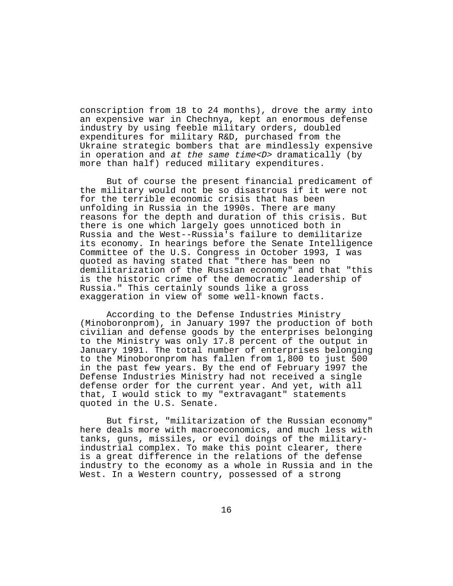conscription from 18 to 24 months), drove the army into an expensive war in Chechnya, kept an enormous defense industry by using feeble military orders, doubled expenditures for military R&D, purchased from the Ukraine strategic bombers that are mindlessly expensive in operation and at the same time< $D$ > dramatically (by more than half) reduced military expenditures.

But of course the present financial predicament of the military would not be so disastrous if it were not for the terrible economic crisis that has been unfolding in Russia in the 1990s. There are many reasons for the depth and duration of this crisis. But there is one which largely goes unnoticed both in Russia and the West--Russia's failure to demilitarize its economy. In hearings before the Senate Intelligence Committee of the U.S. Congress in October 1993, I was quoted as having stated that "there has been no demilitarization of the Russian economy" and that "this is the historic crime of the democratic leadership of Russia." This certainly sounds like a gross exaggeration in view of some well-known facts.

According to the Defense Industries Ministry (Minoboronprom), in January 1997 the production of both civilian and defense goods by the enterprises belonging to the Ministry was only 17.8 percent of the output in January 1991. The total number of enterprises belonging to the Minoboronprom has fallen from 1,800 to just 500 in the past few years. By the end of February 1997 the Defense Industries Ministry had not received a single defense order for the current year. And yet, with all that, I would stick to my "extravagant" statements quoted in the U.S. Senate.

But first, "militarization of the Russian economy" here deals more with macroeconomics, and much less with tanks, guns, missiles, or evil doings of the militaryindustrial complex. To make this point clearer, there is a great difference in the relations of the defense industry to the economy as a whole in Russia and in the West. In a Western country, possessed of a strong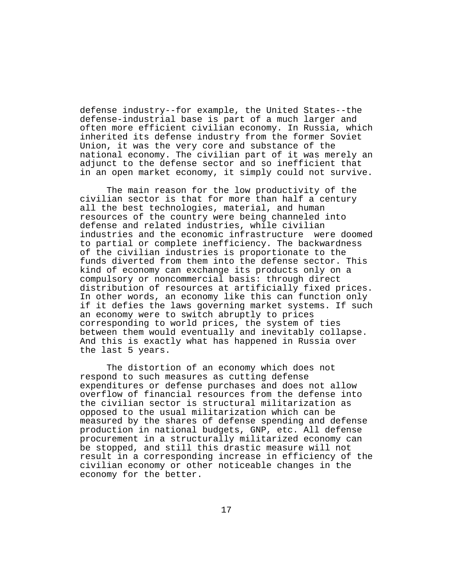defense industry--for example, the United States--the defense-industrial base is part of a much larger and often more efficient civilian economy. In Russia, which inherited its defense industry from the former Soviet Union, it was the very core and substance of the national economy. The civilian part of it was merely an adjunct to the defense sector and so inefficient that in an open market economy, it simply could not survive.

The main reason for the low productivity of the civilian sector is that for more than half a century all the best technologies, material, and human resources of the country were being channeled into defense and related industries, while civilian industries and the economic infrastructure were doomed to partial or complete inefficiency. The backwardness of the civilian industries is proportionate to the funds diverted from them into the defense sector. This kind of economy can exchange its products only on a compulsory or noncommercial basis: through direct distribution of resources at artificially fixed prices. In other words, an economy like this can function only if it defies the laws governing market systems. If such an economy were to switch abruptly to prices corresponding to world prices, the system of ties between them would eventually and inevitably collapse. And this is exactly what has happened in Russia over the last 5 years.

The distortion of an economy which does not respond to such measures as cutting defense expenditures or defense purchases and does not allow overflow of financial resources from the defense into the civilian sector is structural militarization as opposed to the usual militarization which can be measured by the shares of defense spending and defense production in national budgets, GNP, etc. All defense procurement in a structurally militarized economy can be stopped, and still this drastic measure will not result in a corresponding increase in efficiency of the civilian economy or other noticeable changes in the economy for the better.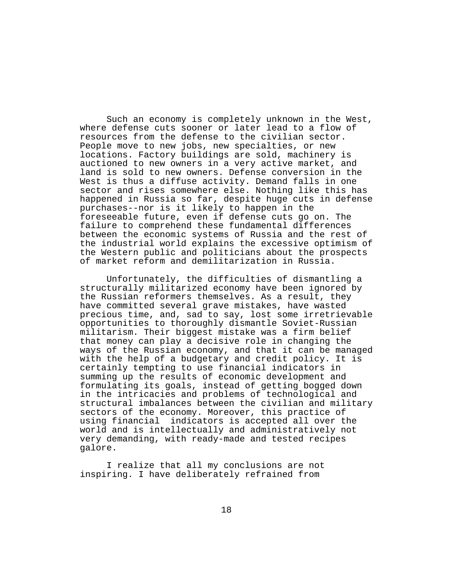Such an economy is completely unknown in the West, where defense cuts sooner or later lead to a flow of resources from the defense to the civilian sector. People move to new jobs, new specialties, or new locations. Factory buildings are sold, machinery is auctioned to new owners in a very active market, and land is sold to new owners. Defense conversion in the West is thus a diffuse activity. Demand falls in one sector and rises somewhere else. Nothing like this has happened in Russia so far, despite huge cuts in defense purchases--nor is it likely to happen in the foreseeable future, even if defense cuts go on. The failure to comprehend these fundamental differences between the economic systems of Russia and the rest of the industrial world explains the excessive optimism of the Western public and politicians about the prospects of market reform and demilitarization in Russia.

Unfortunately, the difficulties of dismantling a structurally militarized economy have been ignored by the Russian reformers themselves. As a result, they have committed several grave mistakes, have wasted precious time, and, sad to say, lost some irretrievable opportunities to thoroughly dismantle Soviet-Russian militarism. Their biggest mistake was a firm belief that money can play a decisive role in changing the ways of the Russian economy, and that it can be managed with the help of a budgetary and credit policy. It is certainly tempting to use financial indicators in summing up the results of economic development and formulating its goals, instead of getting bogged down in the intricacies and problems of technological and structural imbalances between the civilian and military sectors of the economy. Moreover, this practice of using financial indicators is accepted all over the world and is intellectually and administratively not very demanding, with ready-made and tested recipes galore.

I realize that all my conclusions are not inspiring. I have deliberately refrained from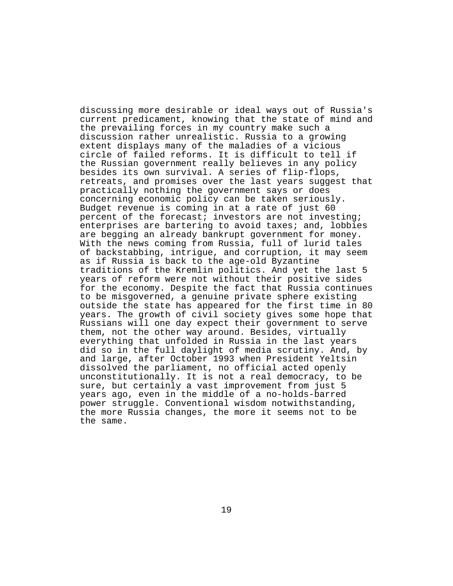discussing more desirable or ideal ways out of Russia's current predicament, knowing that the state of mind and the prevailing forces in my country make such a discussion rather unrealistic. Russia to a growing extent displays many of the maladies of a vicious circle of failed reforms. It is difficult to tell if the Russian government really believes in any policy besides its own survival. A series of flip-flops, retreats, and promises over the last years suggest that practically nothing the government says or does concerning economic policy can be taken seriously. Budget revenue is coming in at a rate of just 60 percent of the forecast; investors are not investing; enterprises are bartering to avoid taxes; and, lobbies are begging an already bankrupt government for money. With the news coming from Russia, full of lurid tales of backstabbing, intrigue, and corruption, it may seem as if Russia is back to the age-old Byzantine traditions of the Kremlin politics. And yet the last 5 years of reform were not without their positive sides for the economy. Despite the fact that Russia continues to be misgoverned, a genuine private sphere existing outside the state has appeared for the first time in 80 years. The growth of civil society gives some hope that Russians will one day expect their government to serve them, not the other way around. Besides, virtually everything that unfolded in Russia in the last years did so in the full daylight of media scrutiny. And, by and large, after October 1993 when President Yeltsin dissolved the parliament, no official acted openly unconstitutionally. It is not a real democracy, to be sure, but certainly a vast improvement from just 5 years ago, even in the middle of a no-holds-barred power struggle. Conventional wisdom notwithstanding, the more Russia changes, the more it seems not to be the same.